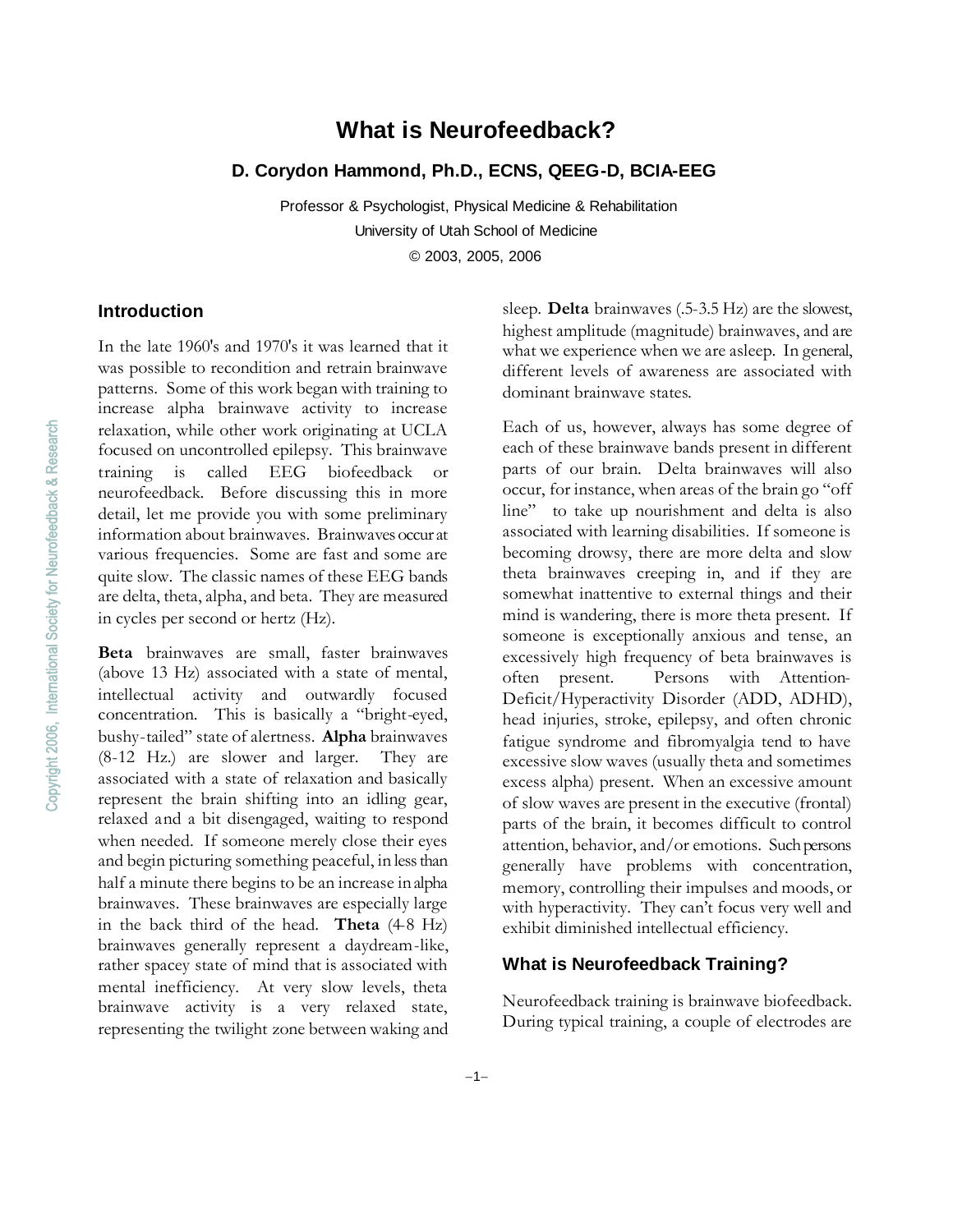# **What is Neurofeedback?**

## **D. Corydon Hammond, Ph.D., ECNS, QEEG-D, BCIA-EEG**

Professor & Psychologist, Physical Medicine & Rehabilitation University of Utah School of Medicine © 2003, 2005, 2006

## **Introduction**

In the late 1960's and 1970's it was learned that it was possible to recondition and retrain brainwave patterns. Some of this work began with training to increase alpha brainwave activity to increase relaxation, while other work originating at UCLA focused on uncontrolled epilepsy. This brainwave training is called EEG biofeedback or neurofeedback. Before discussing this in more detail, let me provide you with some preliminary information about brainwaves. Brainwaves occur at various frequencies. Some are fast and some are quite slow. The classic names of these EEG bands are delta, theta, alpha, and beta. They are measured in cycles per second or hertz (Hz).

**Beta** brainwaves are small, faster brainwaves (above 13 Hz) associated with a state of mental, intellectual activity and outwardly focused concentration. This is basically a "bright-eyed, bushy-tailed" state of alertness. **Alpha** brainwaves (8-12 Hz.) are slower and larger. They are associated with a state of relaxation and basically represent the brain shifting into an idling gear, relaxed and a bit disengaged, waiting to respond when needed. If someone merely close their eyes and begin picturing something peaceful, in less than half a minute there begins to be an increase in alpha brainwaves. These brainwaves are especially large in the back third of the head. **Theta** (4-8 Hz) brainwaves generally represent a daydream-like, rather spacey state of mind that is associated with mental inefficiency. At very slow levels, theta brainwave activity is a very relaxed state, representing the twilight zone between waking and sleep. **Delta** brainwaves (.5-3.5 Hz) are the slowest, highest amplitude (magnitude) brainwaves, and are what we experience when we are asleep. In general, different levels of awareness are associated with dominant brainwave states.

Each of us, however, always has some degree of each of these brainwave bands present in different parts of our brain. Delta brainwaves will also occur, for instance, when areas of the brain go "off line" to take up nourishment and delta is also associated with learning disabilities. If someone is becoming drowsy, there are more delta and slow theta brainwaves creeping in, and if they are somewhat inattentive to external things and their mind is wandering, there is more theta present. If someone is exceptionally anxious and tense, an excessively high frequency of beta brainwaves is often present. Persons with Attention-Deficit/Hyperactivity Disorder (ADD, ADHD), head injuries, stroke, epilepsy, and often chronic fatigue syndrome and fibromyalgia tend to have excessive slow waves (usually theta and sometimes excess alpha) present. When an excessive amount of slow waves are present in the executive (frontal) parts of the brain, it becomes difficult to control attention, behavior, and/or emotions. Suchpersons generally have problems with concentration, memory, controlling their impulses and moods, or with hyperactivity. They can't focus very well and exhibit diminished intellectual efficiency.

#### **What is Neurofeedback Training?**

Neurofeedback training is brainwave biofeedback. During typical training, a couple of electrodes are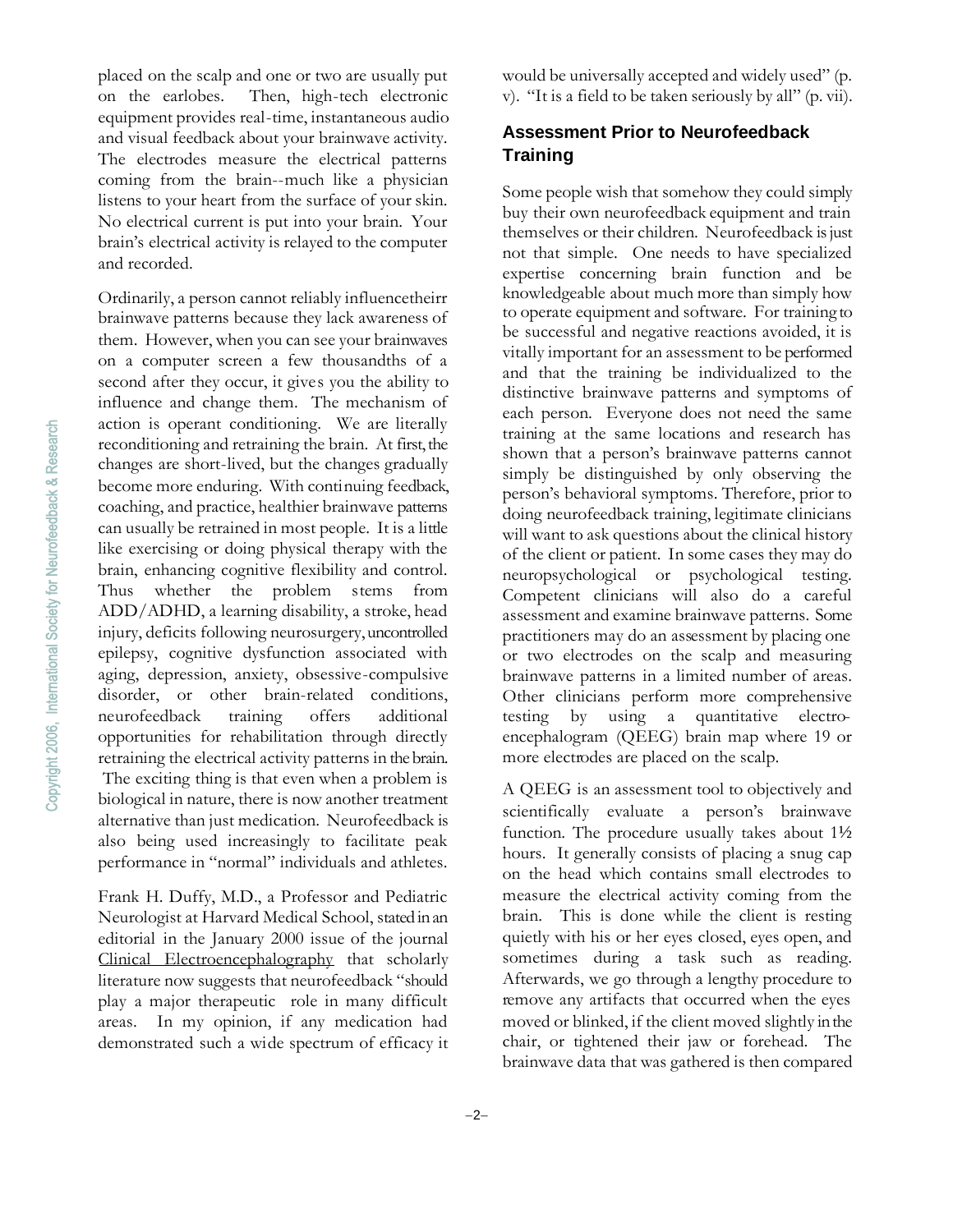placed on the scalp and one or two are usually put on the earlobes. Then, high-tech electronic equipment provides real-time, instantaneous audio and visual feedback about your brainwave activity. The electrodes measure the electrical patterns coming from the brain--much like a physician listens to your heart from the surface of your skin. No electrical current is put into your brain. Your brain's electrical activity is relayed to the computer and recorded.

Ordinarily, a person cannot reliably influencetheirr brainwave patterns because they lack awareness of them. However, when you can see your brainwaves on a computer screen a few thousandths of a second after they occur, it gives you the ability to influence and change them. The mechanism of action is operant conditioning. We are literally reconditioning and retraining the brain. At first, the changes are short-lived, but the changes gradually become more enduring. With continuing feedback, coaching, and practice, healthier brainwave patterns can usually be retrained in most people. It is a little like exercising or doing physical therapy with the brain, enhancing cognitive flexibility and control. Thus whether the problem stems from ADD/ADHD, a learning disability, a stroke, head injury, deficits following neurosurgery,uncontrolled epilepsy, cognitive dysfunction associated with aging, depression, anxiety, obsessive-compulsive disorder, or other brain-related conditions, neurofeedback training offers additional opportunities for rehabilitation through directly retraining the electrical activity patterns in the brain. The exciting thing is that even when a problem is biological in nature, there is now another treatment alternative than just medication. Neurofeedback is also being used increasingly to facilitate peak performance in "normal" individuals and athletes.

Frank H. Duffy, M.D., a Professor and Pediatric Neurologist at Harvard Medical School, stated inan editorial in the January 2000 issue of the journal Clinical Electroencephalography that scholarly literature now suggests that neurofeedback "should play a major therapeutic role in many difficult areas. In my opinion, if any medication had demonstrated such a wide spectrum of efficacy it

would be universally accepted and widely used" (p. v). "It is a field to be taken seriously by all" (p. vii).

# **Assessment Prior to Neurofeedback Training**

Some people wish that somehow they could simply buy their own neurofeedback equipment and train themselves or their children. Neurofeedback is just not that simple. One needs to have specialized expertise concerning brain function and be knowledgeable about much more than simply how to operate equipment and software. For training to be successful and negative reactions avoided, it is vitally important for an assessment to be performed and that the training be individualized to the distinctive brainwave patterns and symptoms of each person. Everyone does not need the same training at the same locations and research has shown that a person's brainwave patterns cannot simply be distinguished by only observing the person's behavioral symptoms. Therefore, prior to doing neurofeedback training, legitimate clinicians will want to ask questions about the clinical history of the client or patient. In some cases they may do neuropsychological or psychological testing. Competent clinicians will also do a careful assessment and examine brainwave patterns. Some practitioners may do an assessment by placing one or two electrodes on the scalp and measuring brainwave patterns in a limited number of areas. Other clinicians perform more comprehensive testing by using a quantitative electroencephalogram (QEEG) brain map where 19 or more electrodes are placed on the scalp.

A QEEG is an assessment tool to objectively and scientifically evaluate a person's brainwave function. The procedure usually takes about 1½ hours. It generally consists of placing a snug cap on the head which contains small electrodes to measure the electrical activity coming from the brain. This is done while the client is resting quietly with his or her eyes closed, eyes open, and sometimes during a task such as reading. Afterwards, we go through a lengthy procedure to remove any artifacts that occurred when the eyes moved or blinked, if the client moved slightly inthe chair, or tightened their jaw or forehead. The brainwave data that was gathered is then compared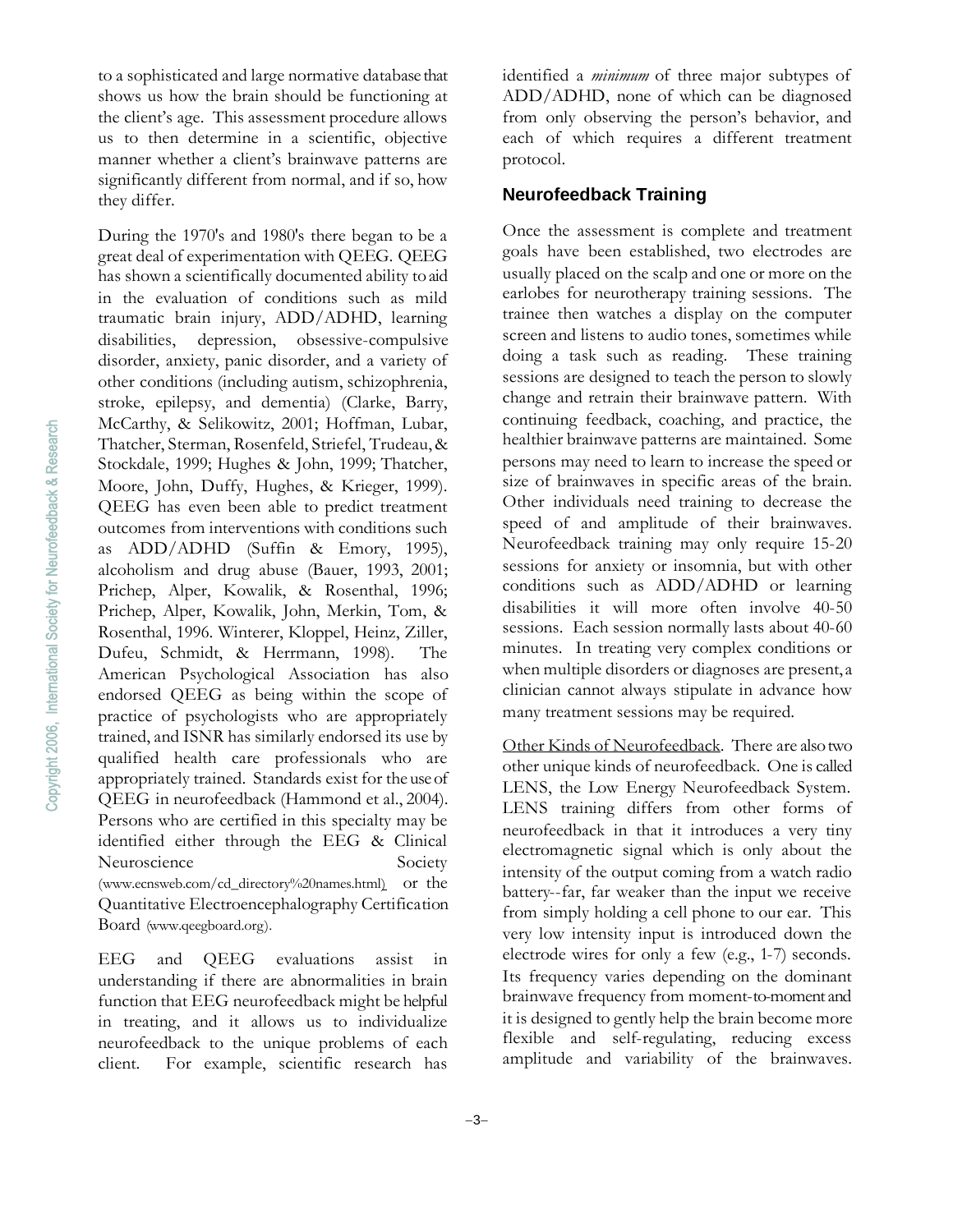to a sophisticated and large normative database that shows us how the brain should be functioning at the client's age. This assessment procedure allows us to then determine in a scientific, objective manner whether a client's brainwave patterns are significantly different from normal, and if so, how they differ.

During the 1970's and 1980's there began to be a great deal of experimentation with QEEG. QEEG has shown a scientifically documented ability to aid in the evaluation of conditions such as mild traumatic brain injury, ADD/ADHD, learning disabilities, depression, obsessive-compulsive disorder, anxiety, panic disorder, and a variety of other conditions (including autism, schizophrenia, stroke, epilepsy, and dementia) (Clarke, Barry, McCarthy, & Selikowitz, 2001; Hoffman, Lubar, Thatcher, Sterman, Rosenfeld, Striefel, Trudeau, & Stockdale, 1999; Hughes & John, 1999; Thatcher, Moore, John, Duffy, Hughes, & Krieger, 1999). QEEG has even been able to predict treatment outcomes from interventions with conditions such as ADD/ADHD (Suffin & Emory, 1995), alcoholism and drug abuse (Bauer, 1993, 2001; Prichep, Alper, Kowalik, & Rosenthal, 1996; Prichep, Alper, Kowalik, John, Merkin, Tom, & Rosenthal, 1996. Winterer, Kloppel, Heinz, Ziller, Dufeu, Schmidt, & Herrmann, 1998). The American Psychological Association has also endorsed QEEG as being within the scope of practice of psychologists who are appropriately trained, and ISNR has similarly endorsed its use by qualified health care professionals who are appropriately trained. Standards exist for the use of QEEG in neurofeedback (Hammond et al., 2004). Persons who are certified in this specialty may be identified either through the EEG & Clinical Neuroscience Society (www.ecnsweb.com/cd\_directory%20names.html) or the Quantitative Electroencephalography Certification Board (www.qeegboard.org).

EEG and QEEG evaluations assist in understanding if there are abnormalities in brain function that EEG neurofeedback might be helpful in treating, and it allows us to individualize neurofeedback to the unique problems of each client. For example, scientific research has

identified a *minimum* of three major subtypes of ADD/ADHD, none of which can be diagnosed from only observing the person's behavior, and each of which requires a different treatment protocol.

## **Neurofeedback Training**

Once the assessment is complete and treatment goals have been established, two electrodes are usually placed on the scalp and one or more on the earlobes for neurotherapy training sessions. The trainee then watches a display on the computer screen and listens to audio tones, sometimes while doing a task such as reading. These training sessions are designed to teach the person to slowly change and retrain their brainwave pattern. With continuing feedback, coaching, and practice, the healthier brainwave patterns are maintained. Some persons may need to learn to increase the speed or size of brainwaves in specific areas of the brain. Other individuals need training to decrease the speed of and amplitude of their brainwaves. Neurofeedback training may only require 15-20 sessions for anxiety or insomnia, but with other conditions such as ADD/ADHD or learning disabilities it will more often involve 40-50 sessions. Each session normally lasts about 40-60 minutes. In treating very complex conditions or when multiple disorders or diagnoses are present,a clinician cannot always stipulate in advance how many treatment sessions may be required.

Other Kinds of Neurofeedback. There are alsotwo other unique kinds of neurofeedback. One is called LENS, the Low Energy Neurofeedback System. LENS training differs from other forms of neurofeedback in that it introduces a very tiny electromagnetic signal which is only about the intensity of the output coming from a watch radio battery--far, far weaker than the input we receive from simply holding a cell phone to our ear. This very low intensity input is introduced down the electrode wires for only a few (e.g., 1-7) seconds. Its frequency varies depending on the dominant brainwave frequency from moment-to-moment and it is designed to gently help the brain become more flexible and self-regulating, reducing excess amplitude and variability of the brainwaves.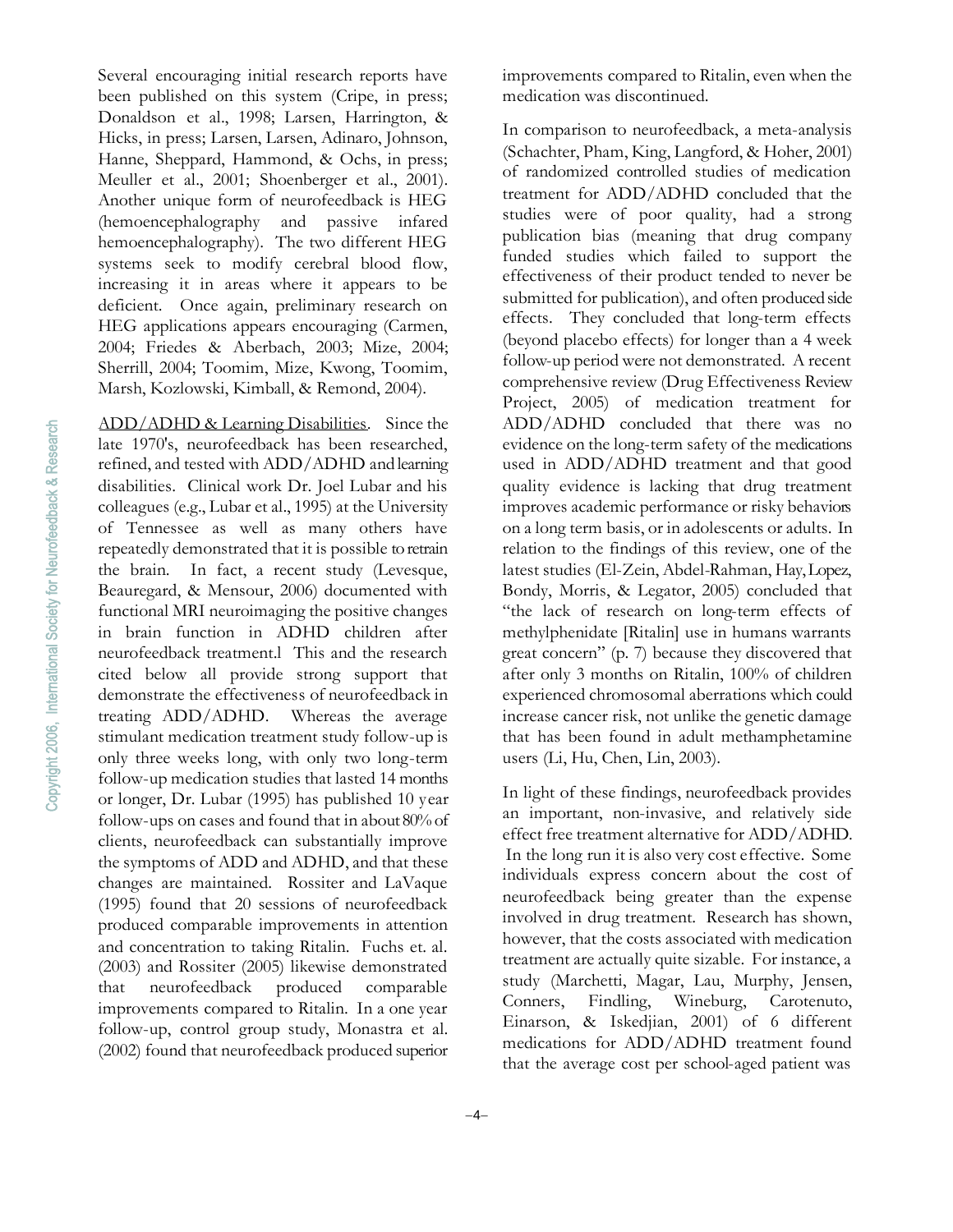Several encouraging initial research reports have been published on this system (Cripe, in press; Donaldson et al., 1998; Larsen, Harrington, & Hicks, in press; Larsen, Larsen, Adinaro, Johnson, Hanne, Sheppard, Hammond, & Ochs, in press; Meuller et al., 2001; Shoenberger et al., 2001). Another unique form of neurofeedback is HEG (hemoencephalography and passive infared hemoencephalography). The two different HEG systems seek to modify cerebral blood flow, increasing it in areas where it appears to be deficient. Once again, preliminary research on HEG applications appears encouraging (Carmen, 2004; Friedes & Aberbach, 2003; Mize, 2004; Sherrill, 2004; Toomim, Mize, Kwong, Toomim, Marsh, Kozlowski, Kimball, & Remond, 2004).

ADD/ADHD & Learning Disabilities. Since the late 1970's, neurofeedback has been researched, refined, and tested with ADD/ADHD and learning disabilities. Clinical work Dr. Joel Lubar and his colleagues (e.g., Lubar et al., 1995) at the University of Tennessee as well as many others have repeatedly demonstrated that it is possible to retrain the brain. In fact, a recent study (Levesque, Beauregard, & Mensour, 2006) documented with functional MRI neuroimaging the positive changes in brain function in ADHD children after neurofeedback treatment.l This and the research cited below all provide strong support that demonstrate the effectiveness of neurofeedback in treating ADD/ADHD. Whereas the average stimulant medication treatment study follow-up is only three weeks long, with only two long-term follow-up medication studies that lasted 14 months or longer, Dr. Lubar (1995) has published 10 year follow-ups on cases and found that in about 80% of clients, neurofeedback can substantially improve the symptoms of ADD and ADHD, and that these changes are maintained. Rossiter and LaVaque (1995) found that 20 sessions of neurofeedback produced comparable improvements in attention and concentration to taking Ritalin. Fuchs et. al. (2003) and Rossiter (2005) likewise demonstrated that neurofeedback produced comparable improvements compared to Ritalin. In a one year follow-up, control group study, Monastra et al. (2002) found that neurofeedback produced superior

improvements compared to Ritalin, even when the medication was discontinued.

In comparison to neurofeedback, a meta-analysis (Schachter, Pham, King, Langford, & Hoher, 2001) of randomized controlled studies of medication treatment for ADD/ADHD concluded that the studies were of poor quality, had a strong publication bias (meaning that drug company funded studies which failed to support the effectiveness of their product tended to never be submitted for publication), and often produced side effects. They concluded that long-term effects (beyond placebo effects) for longer than a 4 week follow-up period were not demonstrated. A recent comprehensive review (Drug Effectiveness Review Project, 2005) of medication treatment for ADD/ADHD concluded that there was no evidence on the long-term safety of the medications used in ADD/ADHD treatment and that good quality evidence is lacking that drug treatment improves academic performance or risky behaviors on a long term basis, or in adolescents or adults. In relation to the findings of this review, one of the latest studies (El-Zein, Abdel-Rahman, Hay,Lopez, Bondy, Morris, & Legator, 2005) concluded that "the lack of research on long-term effects of methylphenidate [Ritalin] use in humans warrants great concern" (p. 7) because they discovered that after only 3 months on Ritalin, 100% of children experienced chromosomal aberrations which could increase cancer risk, not unlike the genetic damage that has been found in adult methamphetamine users (Li, Hu, Chen, Lin, 2003).

In light of these findings, neurofeedback provides an important, non-invasive, and relatively side effect free treatment alternative for ADD/ADHD. In the long run it is also very cost effective. Some individuals express concern about the cost of neurofeedback being greater than the expense involved in drug treatment. Research has shown, however, that the costs associated with medication treatment are actually quite sizable. For instance, a study (Marchetti, Magar, Lau, Murphy, Jensen, Conners, Findling, Wineburg, Carotenuto, Einarson, & Iskedjian, 2001) of 6 different medications for ADD/ADHD treatment found that the average cost per school-aged patient was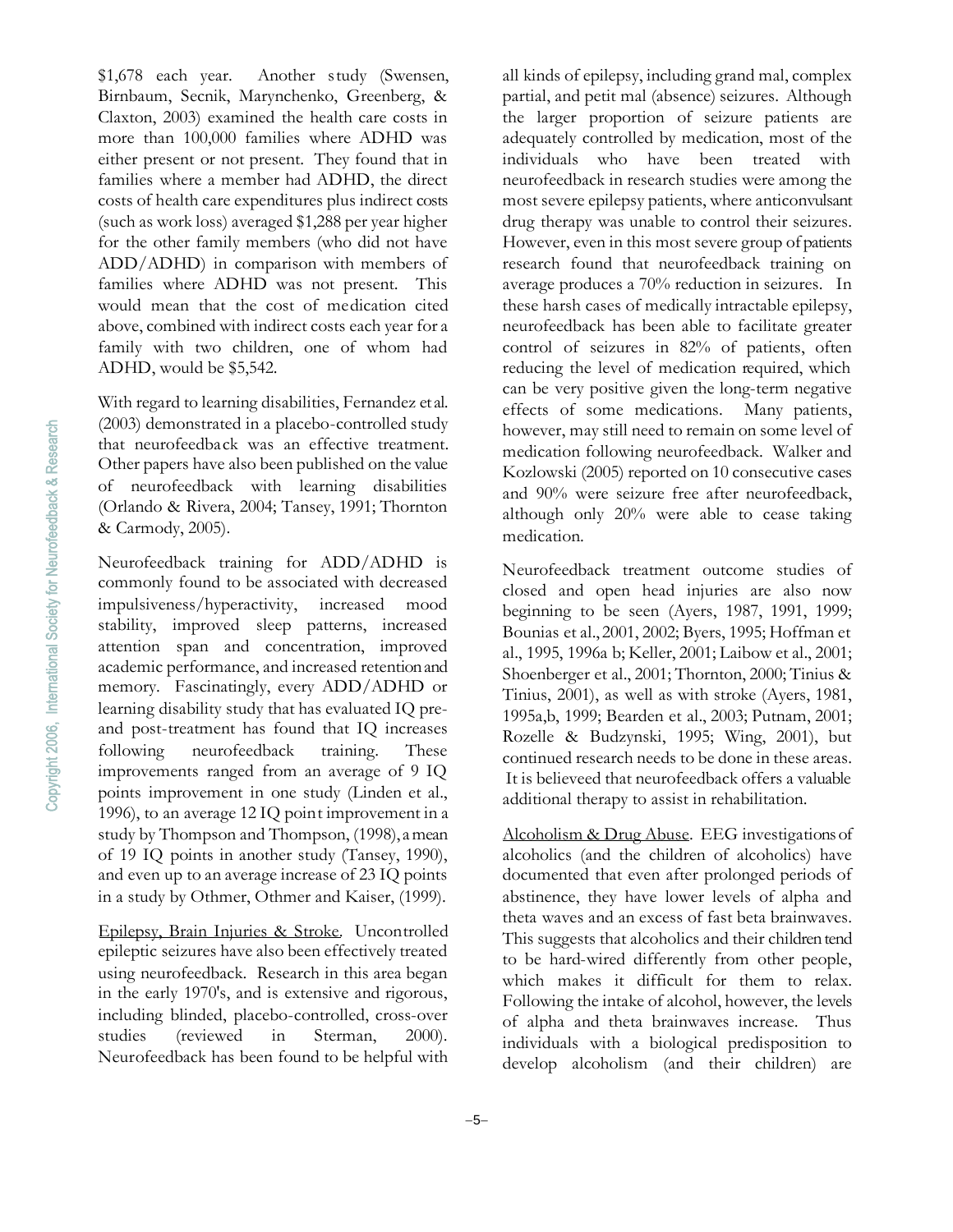\$1,678 each year. Another study (Swensen, Birnbaum, Secnik, Marynchenko, Greenberg, & Claxton, 2003) examined the health care costs in more than 100,000 families where ADHD was either present or not present. They found that in families where a member had ADHD, the direct costs of health care expenditures plus indirect costs (such as work loss) averaged \$1,288 per year higher for the other family members (who did not have ADD/ADHD) in comparison with members of families where ADHD was not present. This would mean that the cost of medication cited above, combined with indirect costs each year for a family with two children, one of whom had ADHD, would be \$5,542.

With regard to learning disabilities, Fernandez et al. (2003) demonstrated in a placebo-controlled study that neurofeedback was an effective treatment. Other papers have also been published on the value of neurofeedback with learning disabilities (Orlando & Rivera, 2004; Tansey, 1991; Thornton & Carmody, 2005).

Neurofeedback training for ADD/ADHD is commonly found to be associated with decreased impulsiveness/hyperactivity, increased mood stability, improved sleep patterns, increased attention span and concentration, improved academic performance, and increased retentionand memory. Fascinatingly, every ADD/ADHD or learning disability study that has evaluated IQ preand post-treatment has found that IQ increases following neurofeedback training. These improvements ranged from an average of 9 IQ points improvement in one study (Linden et al., 1996), to an average 12 IQ point improvement in a study by Thompson and Thompson, (1998),a mean of 19 IQ points in another study (Tansey, 1990), and even up to an average increase of 23 IQ points in a study by Othmer, Othmer and Kaiser, (1999).

Epilepsy, Brain Injuries & Stroke. Uncontrolled epileptic seizures have also been effectively treated using neurofeedback. Research in this area began in the early 1970's, and is extensive and rigorous, including blinded, placebo-controlled, cross-over studies (reviewed in Sterman, 2000). Neurofeedback has been found to be helpful with

all kinds of epilepsy, including grand mal, complex partial, and petit mal (absence) seizures. Although the larger proportion of seizure patients are adequately controlled by medication, most of the individuals who have been treated with neurofeedback in research studies were among the most severe epilepsy patients, where anticonvulsant drug therapy was unable to control their seizures. However, even in this most severe group of patients research found that neurofeedback training on average produces a 70% reduction in seizures. In these harsh cases of medically intractable epilepsy, neurofeedback has been able to facilitate greater control of seizures in 82% of patients, often reducing the level of medication required, which can be very positive given the long-term negative effects of some medications. Many patients, however, may still need to remain on some level of medication following neurofeedback. Walker and Kozlowski (2005) reported on 10 consecutive cases and 90% were seizure free after neurofeedback, although only 20% were able to cease taking medication.

Neurofeedback treatment outcome studies of closed and open head injuries are also now beginning to be seen (Ayers, 1987, 1991, 1999; Bounias et al., 2001, 2002; Byers, 1995; Hoffman et al., 1995, 1996a b; Keller, 2001; Laibow et al., 2001; Shoenberger et al., 2001; Thornton, 2000; Tinius & Tinius, 2001), as well as with stroke (Ayers, 1981, 1995a,b, 1999; Bearden et al., 2003; Putnam, 2001; Rozelle & Budzynski, 1995; Wing, 2001), but continued research needs to be done in these areas. It is believeed that neurofeedback offers a valuable additional therapy to assist in rehabilitation.

Alcoholism & Drug Abuse. EEG investigations of alcoholics (and the children of alcoholics) have documented that even after prolonged periods of abstinence, they have lower levels of alpha and theta waves and an excess of fast beta brainwaves. This suggests that alcoholics and their childrentend to be hard-wired differently from other people, which makes it difficult for them to relax. Following the intake of alcohol, however, the levels of alpha and theta brainwaves increase. Thus individuals with a biological predisposition to develop alcoholism (and their children) are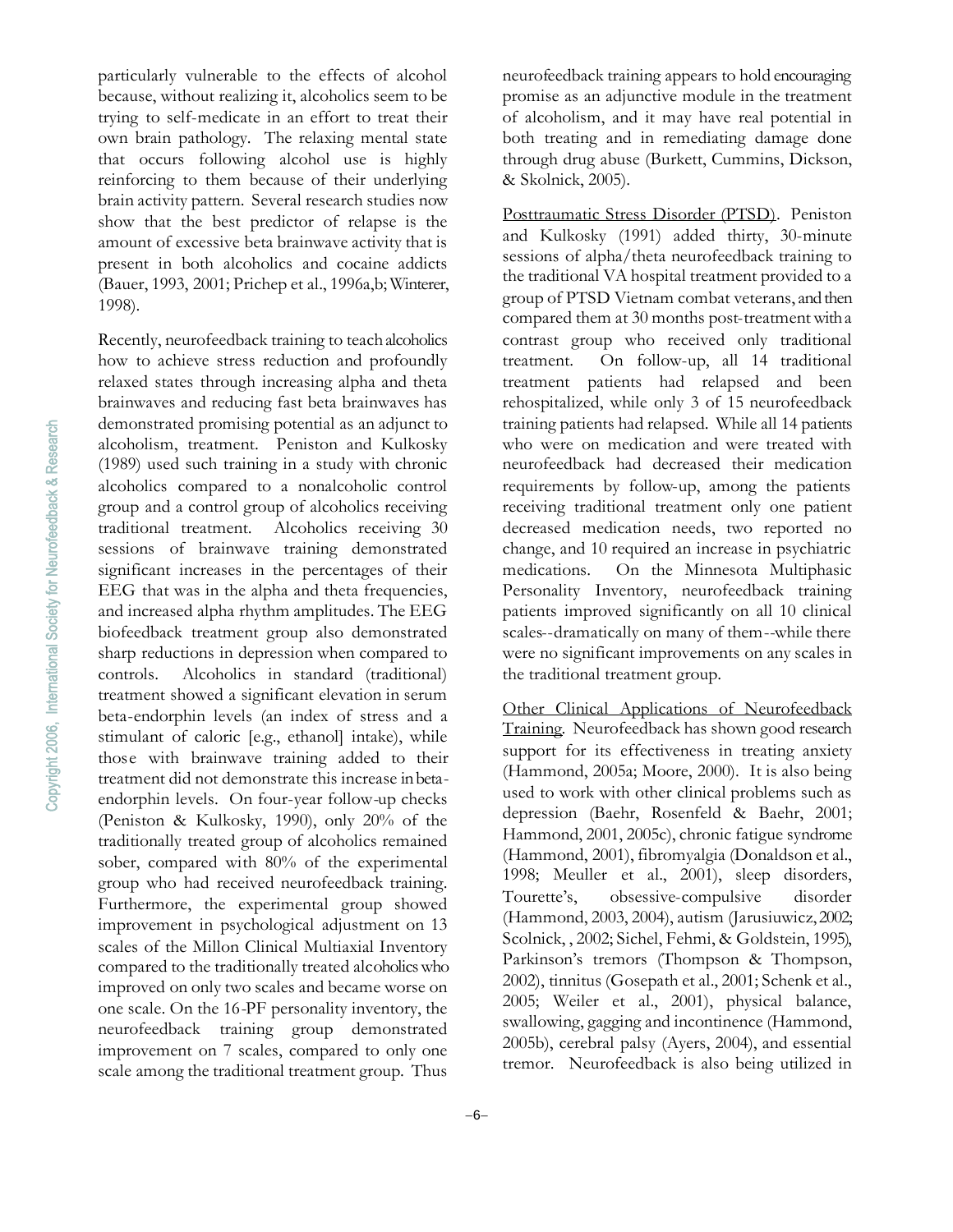Copyright 2006, International Society for Neurofeedback & Research 1998).

Copyright 2006, International Society for Neurofeedback & Research

particularly vulnerable to the effects of alcohol because, without realizing it, alcoholics seem to be trying to self-medicate in an effort to treat their own brain pathology. The relaxing mental state that occurs following alcohol use is highly reinforcing to them because of their underlying brain activity pattern. Several research studies now show that the best predictor of relapse is the amount of excessive beta brainwave activity that is present in both alcoholics and cocaine addicts (Bauer, 1993, 2001; Prichep et al., 1996a,b; Winterer,

Recently, neurofeedback training to teachalcoholics how to achieve stress reduction and profoundly relaxed states through increasing alpha and theta brainwaves and reducing fast beta brainwaves has demonstrated promising potential as an adjunct to alcoholism, treatment. Peniston and Kulkosky (1989) used such training in a study with chronic alcoholics compared to a nonalcoholic control group and a control group of alcoholics receiving traditional treatment. Alcoholics receiving 30 sessions of brainwave training demonstrated significant increases in the percentages of their EEG that was in the alpha and theta frequencies, and increased alpha rhythm amplitudes. The EEG biofeedback treatment group also demonstrated sharp reductions in depression when compared to controls. Alcoholics in standard (traditional) treatment showed a significant elevation in serum beta-endorphin levels (an index of stress and a stimulant of caloric [e.g., ethanol] intake), while those with brainwave training added to their treatment did not demonstrate this increase inbetaendorphin levels. On four-year follow-up checks (Peniston & Kulkosky, 1990), only 20% of the traditionally treated group of alcoholics remained sober, compared with 80% of the experimental group who had received neurofeedback training. Furthermore, the experimental group showed improvement in psychological adjustment on 13 scales of the Millon Clinical Multiaxial Inventory compared to the traditionally treated alcoholics who improved on only two scales and became worse on one scale. On the 16-PF personality inventory, the neurofeedback training group demonstrated improvement on 7 scales, compared to only one scale among the traditional treatment group. Thus

neurofeedback training appears to hold encouraging promise as an adjunctive module in the treatment of alcoholism, and it may have real potential in both treating and in remediating damage done through drug abuse (Burkett, Cummins, Dickson, & Skolnick, 2005).

Posttraumatic Stress Disorder (PTSD). Peniston and Kulkosky (1991) added thirty, 30-minute sessions of alpha/theta neurofeedback training to the traditional VA hospital treatment provided to a group of PTSD Vietnam combat veterans, and then compared them at 30 months post-treatment witha contrast group who received only traditional treatment. On follow-up, all 14 traditional treatment patients had relapsed and been rehospitalized, while only 3 of 15 neurofeedback training patients had relapsed. While all 14 patients who were on medication and were treated with neurofeedback had decreased their medication requirements by follow-up, among the patients receiving traditional treatment only one patient decreased medication needs, two reported no change, and 10 required an increase in psychiatric medications. On the Minnesota Multiphasic Personality Inventory, neurofeedback training patients improved significantly on all 10 clinical scales--dramatically on many of them--while there were no significant improvements on any scales in the traditional treatment group.

Other Clinical Applications of Neurofeedback Training. Neurofeedback has shown good research support for its effectiveness in treating anxiety (Hammond, 2005a; Moore, 2000). It is also being used to work with other clinical problems such as depression (Baehr, Rosenfeld & Baehr, 2001; Hammond, 2001, 2005c), chronic fatigue syndrome (Hammond, 2001), fibromyalgia (Donaldson et al., 1998; Meuller et al., 2001), sleep disorders, Tourette's, obsessive-compulsive disorder (Hammond, 2003, 2004), autism (Jarusiuwicz,2002; Scolnick, , 2002; Sichel, Fehmi, & Goldstein, 1995), Parkinson's tremors (Thompson & Thompson, 2002), tinnitus (Gosepath et al., 2001; Schenk et al., 2005; Weiler et al., 2001), physical balance, swallowing, gagging and incontinence (Hammond, 2005b), cerebral palsy (Ayers, 2004), and essential tremor. Neurofeedback is also being utilized in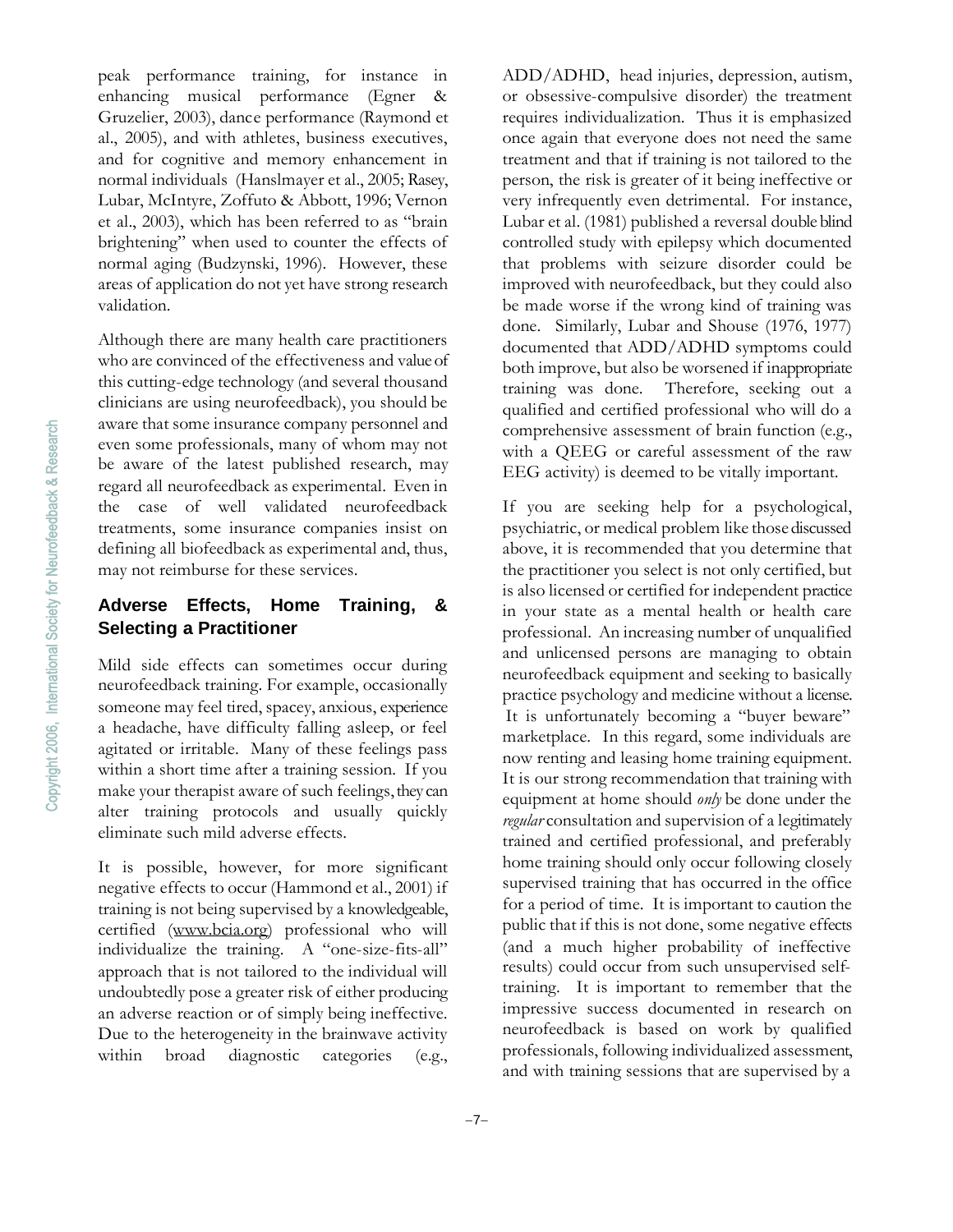peak performance training, for instance in enhancing musical performance (Egner & Gruzelier, 2003), dance performance (Raymond et al., 2005), and with athletes, business executives, and for cognitive and memory enhancement in normal individuals (Hanslmayer et al., 2005; Rasey, Lubar, McIntyre, Zoffuto & Abbott, 1996; Vernon et al., 2003), which has been referred to as "brain brightening" when used to counter the effects of normal aging (Budzynski, 1996). However, these areas of application do not yet have strong research validation.

Although there are many health care practitioners who are convinced of the effectiveness and value of this cutting-edge technology (and several thousand clinicians are using neurofeedback), you should be aware that some insurance company personnel and even some professionals, many of whom may not be aware of the latest published research, may regard all neurofeedback as experimental. Even in the case of well validated neurofeedback treatments, some insurance companies insist on defining all biofeedback as experimental and, thus, may not reimburse for these services.

# **Adverse Effects, Home Training, & Selecting a Practitioner**

Mild side effects can sometimes occur during neurofeedback training. For example, occasionally someone may feel tired, spacey, anxious, experience a headache, have difficulty falling asleep, or feel agitated or irritable. Many of these feelings pass within a short time after a training session. If you make your therapist aware of such feelings, they can alter training protocols and usually quickly eliminate such mild adverse effects.

It is possible, however, for more significant negative effects to occur (Hammond et al., 2001) if training is not being supervised by a knowledgeable, certified (www.bcia.org) professional who will individualize the training. A "one-size-fits-all" approach that is not tailored to the individual will undoubtedly pose a greater risk of either producing an adverse reaction or of simply being ineffective. Due to the heterogeneity in the brainwave activity within broad diagnostic categories (e.g., ADD/ADHD, head injuries, depression, autism, or obsessive-compulsive disorder) the treatment requires individualization. Thus it is emphasized once again that everyone does not need the same treatment and that if training is not tailored to the person, the risk is greater of it being ineffective or very infrequently even detrimental. For instance, Lubar et al. (1981) published a reversal double blind controlled study with epilepsy which documented that problems with seizure disorder could be improved with neurofeedback, but they could also be made worse if the wrong kind of training was done. Similarly, Lubar and Shouse (1976, 1977) documented that ADD/ADHD symptoms could both improve, but also be worsened if inappropriate training was done. Therefore, seeking out a qualified and certified professional who will do a comprehensive assessment of brain function (e.g., with a QEEG or careful assessment of the raw EEG activity) is deemed to be vitally important.

If you are seeking help for a psychological, psychiatric, or medical problem like those discussed above, it is recommended that you determine that the practitioner you select is not only certified, but is also licensed or certified for independent practice in your state as a mental health or health care professional. An increasing number of unqualified and unlicensed persons are managing to obtain neurofeedback equipment and seeking to basically practice psychology and medicine without a license. It is unfortunately becoming a "buyer beware" marketplace. In this regard, some individuals are now renting and leasing home training equipment. It is our strong recommendation that training with equipment at home should *only* be done under the *regular* consultation and supervision of a legitimately trained and certified professional, and preferably home training should only occur following closely supervised training that has occurred in the office for a period of time. It is important to caution the public that if this is not done, some negative effects (and a much higher probability of ineffective results) could occur from such unsupervised selftraining. It is important to remember that the impressive success documented in research on neurofeedback is based on work by qualified professionals, following individualized assessment, and with training sessions that are supervised by a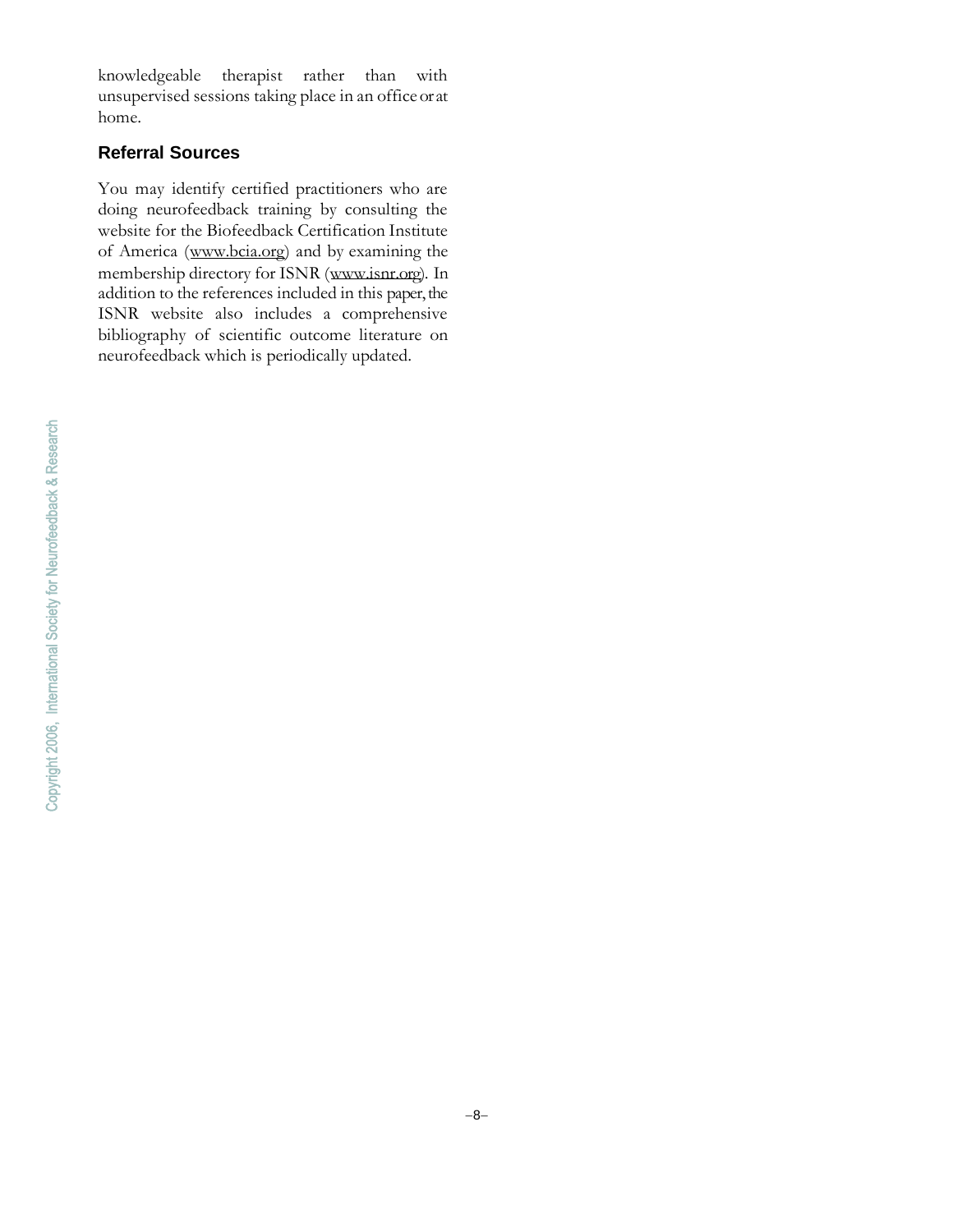knowledgeable therapist rather than with unsupervised sessions taking place in an officeor at home.

## **Referral Sources**

You may identify certified practitioners who are doing neurofeedback training by consulting the website for the Biofeedback Certification Institute of America (www.bcia.org) and by examining the membership directory for ISNR (www.isnr.org). In addition to the references included in this paper, the ISNR website also includes a comprehensive bibliography of scientific outcome literature on neurofeedback which is periodically updated.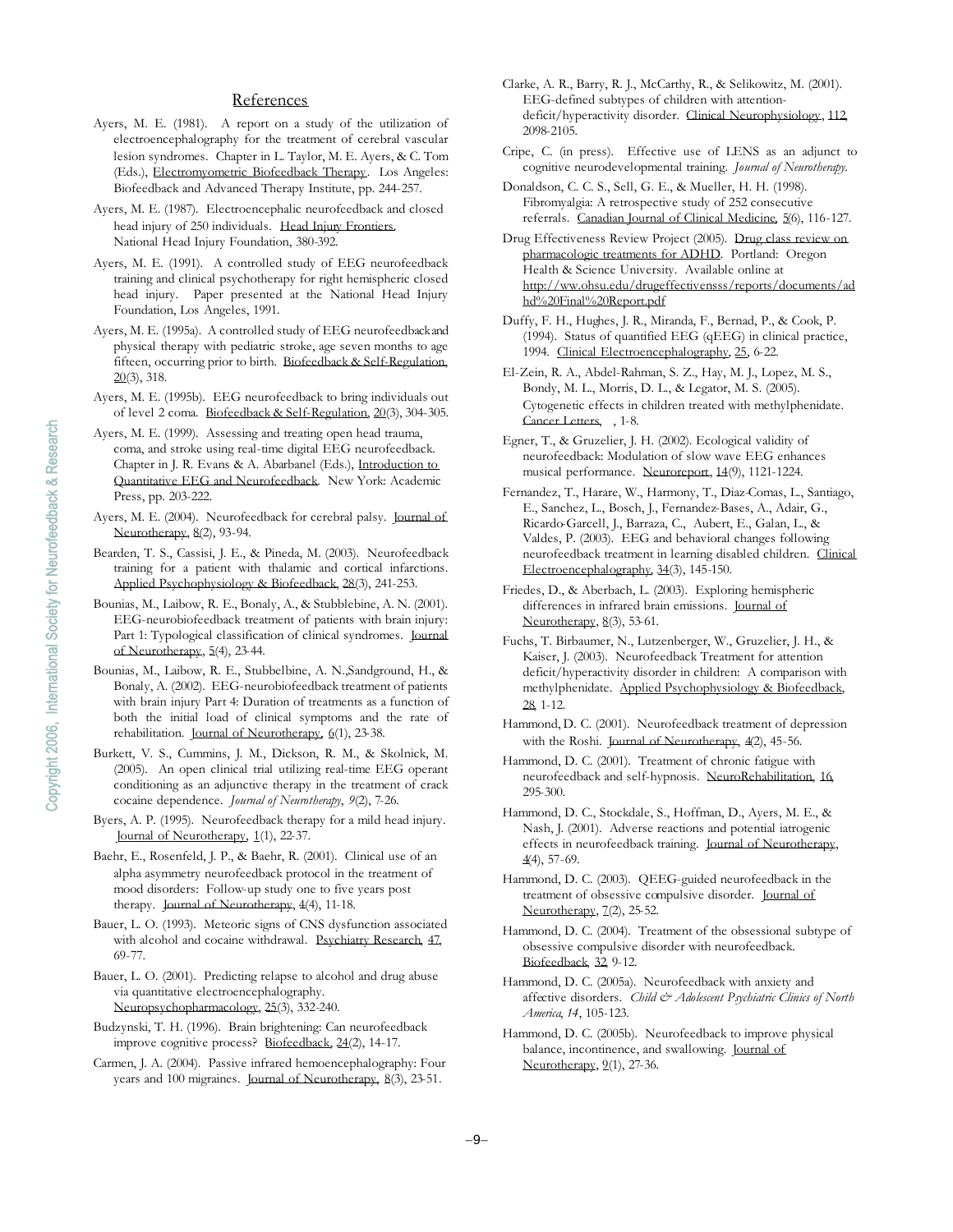#### References

- Ayers, M. E. (1981). A report on a study of the utilization of electroencephalography for the treatment of cerebral vascular lesion syndromes. Chapter in L. Taylor, M. E. Ayers, & C. Tom (Eds.), Electromyometric Biofeedback Therapy. Los Angeles: Biofeedback and Advanced Therapy Institute, pp. 244-257.
- Ayers, M. E. (1987). Electroencephalic neurofeedback and closed head injury of 250 individuals. Head Injury Frontiers. National Head Injury Foundation, 380-392.
- Ayers, M. E. (1991). A controlled study of EEG neurofeedback training and clinical psychotherapy for right hemispheric closed head injury. Paper presented at the National Head Injury Foundation, Los Angeles, 1991.
- Ayers, M. E. (1995a). A controlled study of EEG neurofeedbackand physical therapy with pediatric stroke, age seven months to age fifteen, occurring prior to birth. Biofeedback & Self-Regulation,  $20(3)$ , 318.
- Ayers, M. E. (1995b). EEG neurofeedback to bring individuals out of level 2 coma. Biofeedback & Self-Regulation, 20(3), 304-305.
- Ayers, M. E. (1999). Assessing and treating open head trauma, coma, and stroke using real-time digital EEG neurofeedback. Chapter in J. R. Evans & A. Abarbanel (Eds.), Introduction to Quantitative EEG and Neurofeedback. New York: Academic Press, pp. 203-222.
- Ayers, M. E. (2004). Neurofeedback for cerebral palsy. Journal of Neurotherapy, 8(2), 93-94.
- Bearden, T. S., Cassisi, J. E., & Pineda, M. (2003). Neurofeedback training for a patient with thalamic and cortical infarctions. Applied Psychophysiology & Biofeedback, 28(3), 241-253.
- Bounias, M., Laibow, R. E., Bonaly, A., & Stubblebine, A. N. (2001). EEG-neurobiofeedback treatment of patients with brain injury: Part 1: Typological classification of clinical syndromes. Journal of Neurotherapy, 5(4), 23-44.
- Bounias, M., Laibow, R. E., Stubbelbine, A. N.,Sandground, H., & Bonaly, A. (2002). EEG-neurobiofeedback treatment of patients with brain injury Part 4: Duration of treatments as a function of both the initial load of clinical symptoms and the rate of rehabilitation. Journal of Neurotherapy, 6(1), 23-38.
- Burkett, V. S., Cummins, J. M., Dickson, R. M., & Skolnick, M. (2005). An open clinical trial utilizing real-time EEG operant conditioning as an adjunctive therapy in the treatment of crack cocaine dependence. *Journal of Neurotherapy*, *9*(2), 7-26.
- Byers, A. P. (1995). Neurofeedback therapy for a mild head injury. Journal of Neurotherapy, 1(1), 22-37.
- Baehr, E., Rosenfeld, J. P., & Baehr, R. (2001). Clinical use of an alpha asymmetry neurofeedback protocol in the treatment of mood disorders: Follow-up study one to five years post therapy. Journal of Neurotherapy, 4(4), 11-18.
- Bauer, L. O. (1993). Meteoric signs of CNS dysfunction associated with alcohol and cocaine withdrawal. Psychiatry Research, 47, 69-77.

Bauer, L. O. (2001). Predicting relapse to alcohol and drug abuse via quantitative electroencephalography. Neuropsychopharmacology, 25(3), 332-240.

- Budzynski, T. H. (1996). Brain brightening: Can neurofeedback improve cognitive process? Biofeedback, 24(2), 14-17.
- Carmen, J. A. (2004). Passive infrared hemoencephalography: Four years and 100 migraines. Journal of Neurotherapy, 8(3), 23-51.
- Clarke, A. R., Barry, R. J., McCarthy, R., & Selikowitz, M. (2001). EEG-defined subtypes of children with attentiondeficit/hyperactivity disorder. Clinical Neurophysiology, 112, 2098-2105.
- Cripe, C. (in press). Effective use of LENS as an adjunct to cognitive neurodevelopmental training. *Journal of Neurotherapy*.
- Donaldson, C. C. S., Sell, G. E., & Mueller, H. H. (1998). Fibromyalgia: A retrospective study of 252 consecutive referrals. Canadian Journal of Clinical Medicine, 5(6), 116-127.
- Drug Effectiveness Review Project (2005). Drug class review on pharmacologic treatments for ADHD. Portland: Oregon Health & Science University. Available online at http://ww.ohsu.edu/drugeffectivensss/reports/documents/ad hd%20Final%20Report.pdf
- Duffy, F. H., Hughes, J. R., Miranda, F., Bernad, P., & Cook, P. (1994). Status of quantified EEG (qEEG) in clinical practice, 1994. Clinical Electroencephalography, 25, 6-22.
- El-Zein, R. A., Abdel-Rahman, S. Z., Hay, M. J., Lopez, M. S., Bondy, M. L., Morris, D. L., & Legator, M. S. (2005). Cytogenetic effects in children treated with methylphenidate. Cancer Letters, , 1-8.
- Egner, T., & Gruzelier, J. H. (2002). Ecological validity of neurofeedback: Modulation of slow wave EEG enhances musical performance. Neuroreport, 14(9), 1121-1224.
- Fernandez, T., Harare, W., Harmony, T., Diaz-Comas, L., Santiago, E., Sanchez, L., Bosch, J., Fernandez-Bases, A., Adair, G., Ricardo-Garcell, J., Barraza, C., Aubert, E., Galan, L., & Valdes, P. (2003). EEG and behavioral changes following neurofeedback treatment in learning disabled children. Clinical Electroencephalography, 34(3), 145-150.
- Friedes, D., & Aberbach, L. (2003). Exploring hemispheric differences in infrared brain emissions. Journal of Neurotherapy, 8(3), 53-61.
- Fuchs, T. Birbaumer, N., Lutzenberger, W., Gruzelier, J. H., & Kaiser, J. (2003). Neurofeedback Treatment for attention deficit/hyperactivity disorder in children: A comparison with methylphenidate. Applied Psychophysiology & Biofeedback, 28, 1-12.
- Hammond, D. C. (2001). Neurofeedback treatment of depression with the Roshi. Journal of Neurotherapy, 4(2), 45-56.
- Hammond, D. C. (2001). Treatment of chronic fatigue with neurofeedback and self-hypnosis. NeuroRehabilitation, 16, 295-300.
- Hammond, D. C., Stockdale, S., Hoffman, D., Ayers, M. E., & Nash, J. (2001). Adverse reactions and potential iatrogenic effects in neurofeedback training. Journal of Neurotherapy, 4(4), 57-69.
- Hammond, D. C. (2003). QEEG-guided neurofeedback in the treatment of obsessive compulsive disorder. Journal of Neurotherapy, 7(2), 25-52.
- Hammond, D. C. (2004). Treatment of the obsessional subtype of obsessive compulsive disorder with neurofeedback. Biofeedback, 32, 9-12.
- Hammond, D. C. (2005a). Neurofeedback with anxiety and affective disorders. *Child & Adolescent Psychiatric Clinics of North America*, *14*, 105-123.
- Hammond, D. C. (2005b). Neurofeedback to improve physical balance, incontinence, and swallowing. Journal of Neurotherapy, 9(1), 27-36.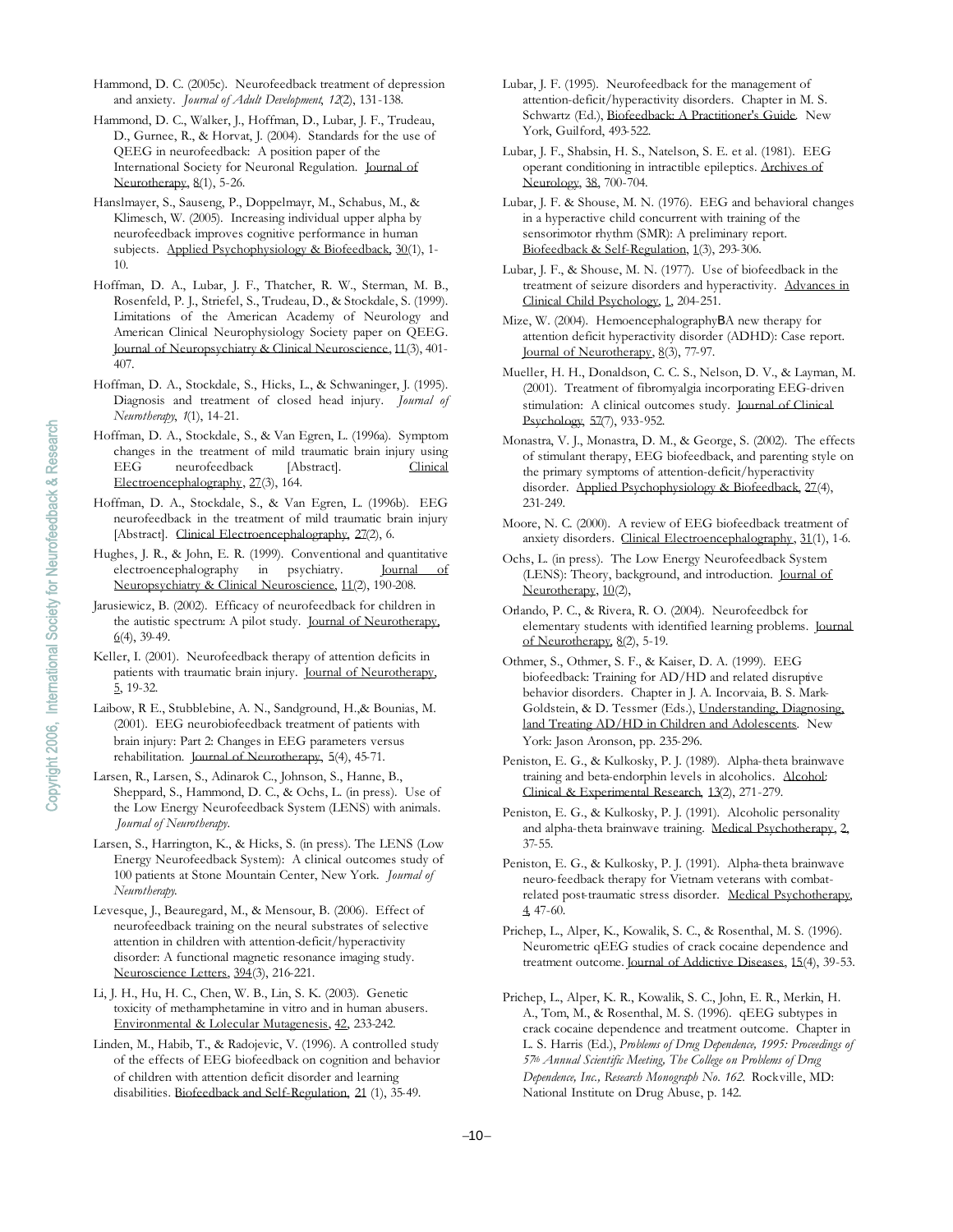- Hammond, D. C. (2005c). Neurofeedback treatment of depression and anxiety. *Journal of Adult Development*, *12*(2), 131-138.
- Hammond, D. C., Walker, J., Hoffman, D., Lubar, J. F., Trudeau, D., Gurnee, R., & Horvat, J. (2004). Standards for the use of QEEG in neurofeedback: A position paper of the International Society for Neuronal Regulation. Journal of Neurotherapy, 8(1), 5-26.
- Hanslmayer, S., Sauseng, P., Doppelmayr, M., Schabus, M., & Klimesch, W. (2005). Increasing individual upper alpha by neurofeedback improves cognitive performance in human subjects. Applied Psychophysiology & Biofeedback, 30(1), 1-10.
- Hoffman, D. A., Lubar, J. F., Thatcher, R. W., Sterman, M. B., Rosenfeld, P. J., Striefel, S., Trudeau, D., & Stockdale, S. (1999). Limitations of the American Academy of Neurology and American Clinical Neurophysiology Society paper on QEEG. Journal of Neuropsychiatry & Clinical Neuroscience, 11(3), 401- 407.
- Hoffman, D. A., Stockdale, S., Hicks, L., & Schwaninger, J. (1995). Diagnosis and treatment of closed head injury. *Journal of Neurotherapy*, *1*(1), 14-21.
- Hoffman, D. A., Stockdale, S., & Van Egren, L. (1996a). Symptom changes in the treatment of mild traumatic brain injury using EEG neurofeedback [Abstract]. Clinical Electroencephalography, 27(3), 164.
- Hoffman, D. A., Stockdale, S., & Van Egren, L. (1996b). EEG neurofeedback in the treatment of mild traumatic brain injury [Abstract]. Clinical Electroencephalography, 27(2), 6.
- Hughes, J. R., & John, E. R. (1999). Conventional and quantitative electroencephalography in psychiatry. Journal of Neuropsychiatry & Clinical Neuroscience, 11(2), 190-208.
- Jarusiewicz, B. (2002). Efficacy of neurofeedback for children in the autistic spectrum: A pilot study. Journal of Neurotherapy,  $6(4)$ , 39-49.
- Keller, I. (2001). Neurofeedback therapy of attention deficits in patients with traumatic brain injury. Journal of Neurotherapy, 5, 19-32.
- Laibow, R E., Stubblebine, A. N., Sandground, H.,& Bounias, M. (2001). EEG neurobiofeedback treatment of patients with brain injury: Part 2: Changes in EEG parameters versus rehabilitation. Journal of Neurotherapy, 5(4), 45-71.
- Larsen, R., Larsen, S., Adinarok C., Johnson, S., Hanne, B., Sheppard, S., Hammond, D. C., & Ochs, L. (in press). Use of the Low Energy Neurofeedback System (LENS) with animals. *Journal of Neurotherapy*.
- Larsen, S., Harrington, K., & Hicks, S. (in press). The LENS (Low Energy Neurofeedback System): A clinical outcomes study of 100 patients at Stone Mountain Center, New York. *Journal of Neurotherapy*.
- Levesque, J., Beauregard, M., & Mensour, B. (2006). Effect of neurofeedback training on the neural substrates of selective attention in children with attention-deficit/hyperactivity disorder: A functional magnetic resonance imaging study. Neuroscience Letters, 394(3), 216-221.
- Li, J. H., Hu, H. C., Chen, W. B., Lin, S. K. (2003). Genetic toxicity of methamphetamine in vitro and in human abusers. Environmental & Lolecular Mutagenesis, 42, 233-242.
- Linden, M., Habib, T., & Radojevic, V. (1996). A controlled study of the effects of EEG biofeedback on cognition and behavior of children with attention deficit disorder and learning disabilities. Biofeedback and Self-Regulation, 21 (1), 35-49.
- Lubar, J. F. (1995). Neurofeedback for the management of attention-deficit/hyperactivity disorders. Chapter in M. S. Schwartz (Ed.), Biofeedback: A Practitioner's Guide. New York, Guilford, 493-522.
- Lubar, J. F., Shabsin, H. S., Natelson, S. E. et al. (1981). EEG operant conditioning in intractible epileptics. Archives of Neurology, 38, 700-704.
- Lubar, J. F. & Shouse, M. N. (1976). EEG and behavioral changes in a hyperactive child concurrent with training of the sensorimotor rhythm (SMR): A preliminary report. Biofeedback & Self-Regulation, 1(3), 293-306.
- Lubar, J. F., & Shouse, M. N. (1977). Use of biofeedback in the treatment of seizure disorders and hyperactivity. Advances in Clinical Child Psychology, 1, 204-251.
- Mize, W. (2004). HemoencephalographyBA new therapy for attention deficit hyperactivity disorder (ADHD): Case report. Journal of Neurotherapy, 8(3), 77-97.
- Mueller, H. H., Donaldson, C. C. S., Nelson, D. V., & Layman, M. (2001). Treatment of fibromyalgia incorporating EEG-driven stimulation: A clinical outcomes study. Journal of Clinical Psychology, 57(7), 933-952.
- Monastra, V. J., Monastra, D. M., & George, S. (2002). The effects of stimulant therapy, EEG biofeedback, and parenting style on the primary symptoms of attention-deficit/hyperactivity disorder. Applied Psychophysiology & Biofeedback, 27(4), 231-249.
- Moore, N. C. (2000). A review of EEG biofeedback treatment of anxiety disorders. Clinical Electroencephalography, 31(1), 1-6.
- Ochs, L. (in press). The Low Energy Neurofeedback System (LENS): Theory, background, and introduction. Journal of Neurotherapy, 10(2),
- Orlando, P. C., & Rivera, R. O. (2004). Neurofeedbck for elementary students with identified learning problems. Journal of Neurotherapy, 8(2), 5-19.
- Othmer, S., Othmer, S. F., & Kaiser, D. A. (1999). EEG biofeedback: Training for AD/HD and related disruptive behavior disorders. Chapter in J. A. Incorvaia, B. S. Mark-Goldstein, & D. Tessmer (Eds.), Understanding, Diagnosing, land Treating AD/HD in Children and Adolescents. New York: Jason Aronson, pp. 235-296.
- Peniston, E. G., & Kulkosky, P. J. (1989). Alpha-theta brainwave training and beta-endorphin levels in alcoholics. Alcohol: Clinical & Experimental Research, 13(2), 271-279.
- Peniston, E. G., & Kulkosky, P. J. (1991). Alcoholic personality and alpha-theta brainwave training. Medical Psychotherapy, 2, 37-55.
- Peniston, E. G., & Kulkosky, P. J. (1991). Alpha-theta brainwave neuro-feedback therapy for Vietnam veterans with combatrelated post-traumatic stress disorder. Medical Psychotherapy, 4, 47-60.
- Prichep, L., Alper, K., Kowalik, S. C., & Rosenthal, M. S. (1996). Neurometric qEEG studies of crack cocaine dependence and treatment outcome. Journal of Addictive Diseases, 15(4), 39-53.
- Prichep, L., Alper, K. R., Kowalik, S. C., John, E. R., Merkin, H. A., Tom, M., & Rosenthal, M. S. (1996). qEEG subtypes in crack cocaine dependence and treatment outcome. Chapter in L. S. Harris (Ed.), *Problems of Drug Dependence, 1995: Proceedings of 57th Annual Scientific Meeting, The College on Problems of Drug Dependence, Inc., Research Monograph No. 162.* Rockville, MD: National Institute on Drug Abuse, p. 142.